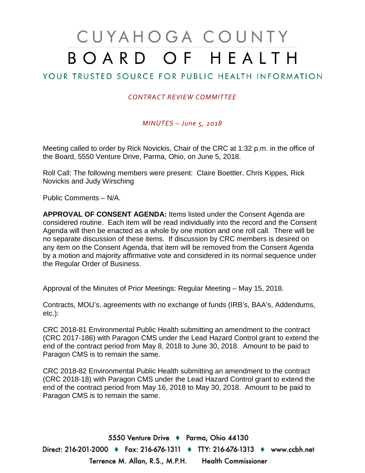## CUYAHOGA COUNTY BOARD OF HEALTH

## YOUR TRUSTED SOURCE FOR PUBLIC HEALTH INFORMATION

## *CONTRACT REVIEW COMMITTEE*

*MINUTES – June 5, 2018*

Meeting called to order by Rick Novickis, Chair of the CRC at 1:32 p.m. in the office of the Board, 5550 Venture Drive, Parma, Ohio, on June 5, 2018.

Roll Call: The following members were present: Claire Boettler, Chris Kippes, Rick Novickis and Judy Wirsching

Public Comments – N/A.

**APPROVAL OF CONSENT AGENDA:** Items listed under the Consent Agenda are considered routine. Each item will be read individually into the record and the Consent Agenda will then be enacted as a whole by one motion and one roll call. There will be no separate discussion of these items. If discussion by CRC members is desired on any item on the Consent Agenda, that item will be removed from the Consent Agenda by a motion and majority affirmative vote and considered in its normal sequence under the Regular Order of Business.

Approval of the Minutes of Prior Meetings: Regular Meeting – May 15, 2018.

Contracts, MOU's, agreements with no exchange of funds (IRB's, BAA's, Addendums, etc.):

CRC 2018-81 Environmental Public Health submitting an amendment to the contract (CRC 2017-186) with Paragon CMS under the Lead Hazard Control grant to extend the end of the contract period from May 8, 2018 to June 30, 2018. Amount to be paid to Paragon CMS is to remain the same.

CRC 2018-82 Environmental Public Health submitting an amendment to the contract (CRC 2018-18) with Paragon CMS under the Lead Hazard Control grant to extend the end of the contract period from May 16, 2018 to May 30, 2018. Amount to be paid to Paragon CMS is to remain the same.

5550 Venture Drive + Parma, Ohio 44130 Direct: 216-201-2000 ♦ Fax: 216-676-1311 ♦ TTY: 216-676-1313 ♦ www.ccbh.net Terrence M. Allan, R.S., M.P.H. Health Commissioner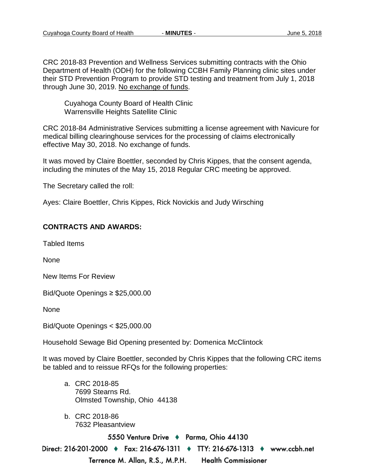CRC 2018-83 Prevention and Wellness Services submitting contracts with the Ohio Department of Health (ODH) for the following CCBH Family Planning clinic sites under their STD Prevention Program to provide STD testing and treatment from July 1, 2018 through June 30, 2019. No exchange of funds.

Cuyahoga County Board of Health Clinic Warrensville Heights Satellite Clinic

CRC 2018-84 Administrative Services submitting a license agreement with Navicure for medical billing clearinghouse services for the processing of claims electronically effective May 30, 2018. No exchange of funds.

It was moved by Claire Boettler, seconded by Chris Kippes, that the consent agenda, including the minutes of the May 15, 2018 Regular CRC meeting be approved.

The Secretary called the roll:

Ayes: Claire Boettler, Chris Kippes, Rick Novickis and Judy Wirsching

## **CONTRACTS AND AWARDS:**

Tabled Items

None

New Items For Review

Bid/Quote Openings ≥ \$25,000.00

None

Bid/Quote Openings < \$25,000.00

Household Sewage Bid Opening presented by: Domenica McClintock

It was moved by Claire Boettler, seconded by Chris Kippes that the following CRC items be tabled and to reissue RFQs for the following properties:

- a. CRC 2018-85 7699 Stearns Rd. Olmsted Township, Ohio 44138
- b. CRC 2018-86 7632 Pleasantview

5550 Venture Drive + Parma, Ohio 44130

Direct: 216-201-2000 ♦ Fax: 216-676-1311 ♦ TTY: 216-676-1313 ♦ www.ccbh.net Terrence M. Allan, R.S., M.P.H. **Health Commissioner**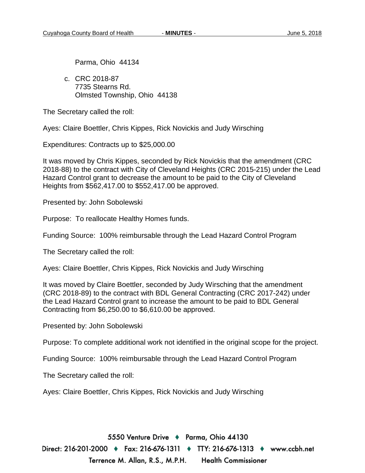Parma, Ohio 44134

c. CRC 2018-87 7735 Stearns Rd. Olmsted Township, Ohio 44138

The Secretary called the roll:

Ayes: Claire Boettler, Chris Kippes, Rick Novickis and Judy Wirsching

Expenditures: Contracts up to \$25,000.00

It was moved by Chris Kippes, seconded by Rick Novickis that the amendment (CRC 2018-88) to the contract with City of Cleveland Heights (CRC 2015-215) under the Lead Hazard Control grant to decrease the amount to be paid to the City of Cleveland Heights from \$562,417.00 to \$552,417.00 be approved.

Presented by: John Sobolewski

Purpose: To reallocate Healthy Homes funds.

Funding Source: 100% reimbursable through the Lead Hazard Control Program

The Secretary called the roll:

Ayes: Claire Boettler, Chris Kippes, Rick Novickis and Judy Wirsching

It was moved by Claire Boettler, seconded by Judy Wirsching that the amendment (CRC 2018-89) to the contract with BDL General Contracting (CRC 2017-242) under the Lead Hazard Control grant to increase the amount to be paid to BDL General Contracting from \$6,250.00 to \$6,610.00 be approved.

Presented by: John Sobolewski

Purpose: To complete additional work not identified in the original scope for the project.

Funding Source: 100% reimbursable through the Lead Hazard Control Program

The Secretary called the roll:

Ayes: Claire Boettler, Chris Kippes, Rick Novickis and Judy Wirsching

5550 Venture Drive + Parma, Ohio 44130 Direct: 216-201-2000 ♦ Fax: 216-676-1311 ♦ TTY: 216-676-1313 ♦ www.ccbh.net Terrence M. Allan, R.S., M.P.H. **Health Commissioner**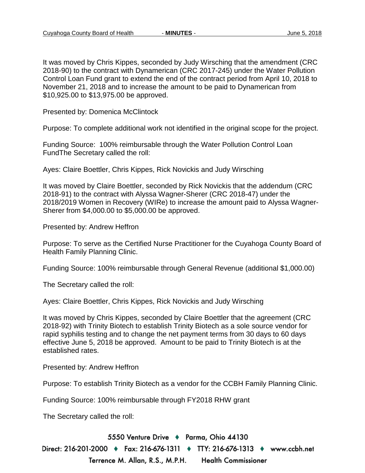It was moved by Chris Kippes, seconded by Judy Wirsching that the amendment (CRC 2018-90) to the contract with Dynamerican (CRC 2017-245) under the Water Pollution Control Loan Fund grant to extend the end of the contract period from April 10, 2018 to November 21, 2018 and to increase the amount to be paid to Dynamerican from \$10,925.00 to \$13,975.00 be approved.

Presented by: Domenica McClintock

Purpose: To complete additional work not identified in the original scope for the project.

Funding Source: 100% reimbursable through the Water Pollution Control Loan FundThe Secretary called the roll:

Ayes: Claire Boettler, Chris Kippes, Rick Novickis and Judy Wirsching

It was moved by Claire Boettler, seconded by Rick Novickis that the addendum (CRC 2018-91) to the contract with Alyssa Wagner-Sherer (CRC 2018-47) under the 2018/2019 Women in Recovery (WIRe) to increase the amount paid to Alyssa Wagner-Sherer from \$4,000.00 to \$5,000.00 be approved.

Presented by: Andrew Heffron

Purpose: To serve as the Certified Nurse Practitioner for the Cuyahoga County Board of Health Family Planning Clinic.

Funding Source: 100% reimbursable through General Revenue (additional \$1,000.00)

The Secretary called the roll:

Ayes: Claire Boettler, Chris Kippes, Rick Novickis and Judy Wirsching

It was moved by Chris Kippes, seconded by Claire Boettler that the agreement (CRC 2018-92) with Trinity Biotech to establish Trinity Biotech as a sole source vendor for rapid syphilis testing and to change the net payment terms from 30 days to 60 days effective June 5, 2018 be approved. Amount to be paid to Trinity Biotech is at the established rates.

Presented by: Andrew Heffron

Purpose: To establish Trinity Biotech as a vendor for the CCBH Family Planning Clinic.

Funding Source: 100% reimbursable through FY2018 RHW grant

The Secretary called the roll:

5550 Venture Drive + Parma, Ohio 44130

Direct: 216-201-2000 ♦ Fax: 216-676-1311 ♦ TTY: 216-676-1313 ♦ www.ccbh.net Terrence M. Allan, R.S., M.P.H. **Health Commissioner**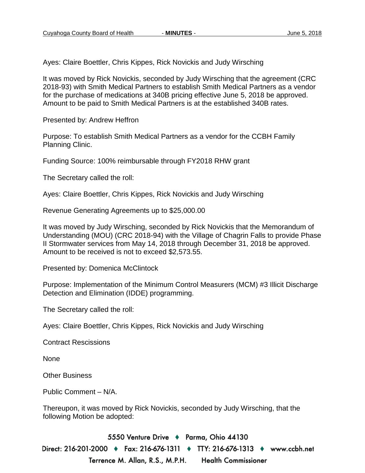Ayes: Claire Boettler, Chris Kippes, Rick Novickis and Judy Wirsching

It was moved by Rick Novickis, seconded by Judy Wirsching that the agreement (CRC 2018-93) with Smith Medical Partners to establish Smith Medical Partners as a vendor for the purchase of medications at 340B pricing effective June 5, 2018 be approved. Amount to be paid to Smith Medical Partners is at the established 340B rates.

Presented by: Andrew Heffron

Purpose: To establish Smith Medical Partners as a vendor for the CCBH Family Planning Clinic.

Funding Source: 100% reimbursable through FY2018 RHW grant

The Secretary called the roll:

Ayes: Claire Boettler, Chris Kippes, Rick Novickis and Judy Wirsching

Revenue Generating Agreements up to \$25,000.00

It was moved by Judy Wirsching, seconded by Rick Novickis that the Memorandum of Understanding (MOU) (CRC 2018-94) with the Village of Chagrin Falls to provide Phase II Stormwater services from May 14, 2018 through December 31, 2018 be approved. Amount to be received is not to exceed \$2,573.55.

Presented by: Domenica McClintock

Purpose: Implementation of the Minimum Control Measurers (MCM) #3 Illicit Discharge Detection and Elimination (IDDE) programming.

The Secretary called the roll:

Ayes: Claire Boettler, Chris Kippes, Rick Novickis and Judy Wirsching

Contract Rescissions

None

Other Business

Public Comment – N/A.

Thereupon, it was moved by Rick Novickis, seconded by Judy Wirsching, that the following Motion be adopted:

5550 Venture Drive + Parma, Ohio 44130 Direct: 216-201-2000 ♦ Fax: 216-676-1311 ♦ TTY: 216-676-1313 ♦ www.ccbh.net Terrence M. Allan, R.S., M.P.H. **Health Commissioner**